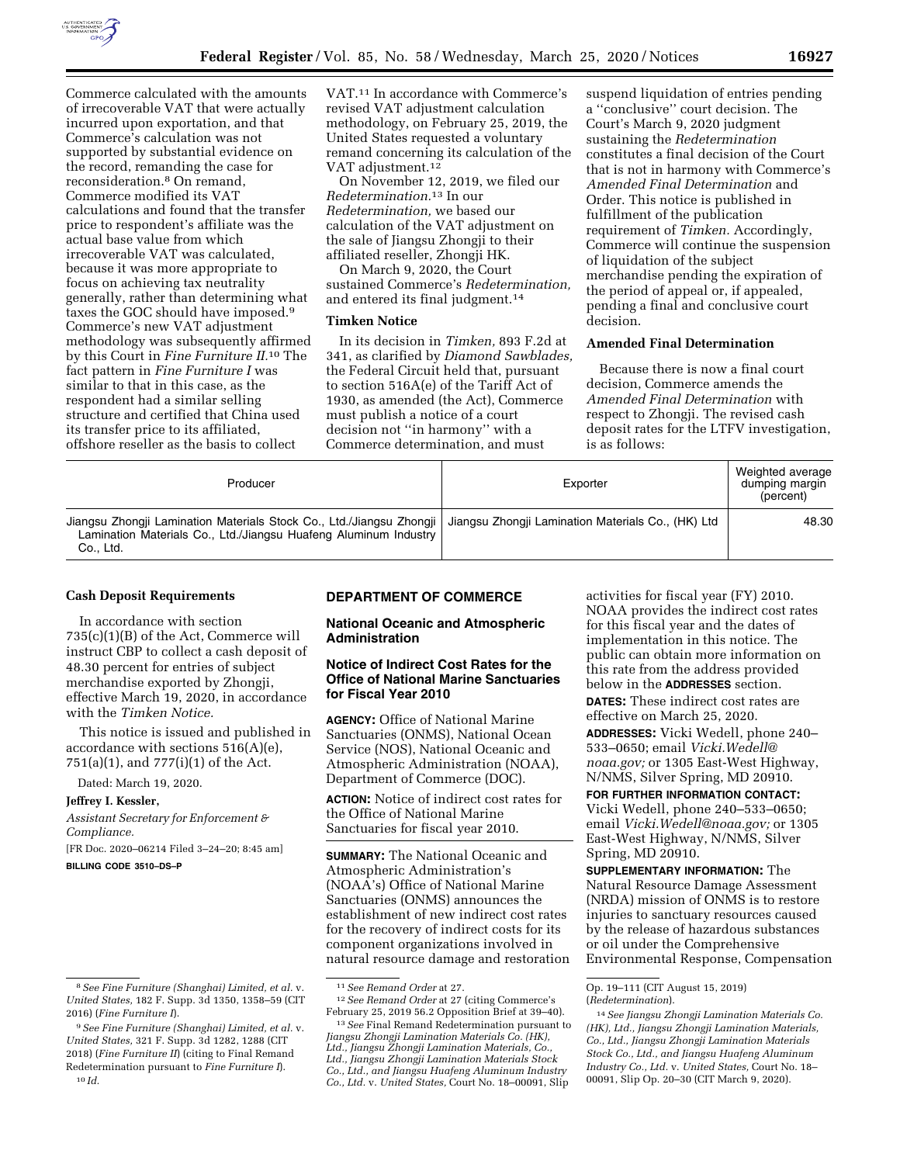

Commerce calculated with the amounts of irrecoverable VAT that were actually incurred upon exportation, and that Commerce's calculation was not supported by substantial evidence on the record, remanding the case for reconsideration.8 On remand, Commerce modified its VAT calculations and found that the transfer price to respondent's affiliate was the actual base value from which irrecoverable VAT was calculated, because it was more appropriate to focus on achieving tax neutrality generally, rather than determining what taxes the GOC should have imposed.9 Commerce's new VAT adjustment methodology was subsequently affirmed by this Court in *Fine Furniture II.*10 The fact pattern in *Fine Furniture I* was similar to that in this case, as the respondent had a similar selling structure and certified that China used its transfer price to its affiliated, offshore reseller as the basis to collect

VAT.11 In accordance with Commerce's revised VAT adjustment calculation methodology, on February 25, 2019, the United States requested a voluntary remand concerning its calculation of the VAT adjustment.12

On November 12, 2019, we filed our *Redetermination.*13 In our *Redetermination,* we based our calculation of the VAT adjustment on the sale of Jiangsu Zhongji to their affiliated reseller, Zhongji HK.

On March 9, 2020, the Court sustained Commerce's *Redetermination,*  and entered its final judgment.<sup>14</sup>

## **Timken Notice**

In its decision in *Timken,* 893 F.2d at 341, as clarified by *Diamond Sawblades,*  the Federal Circuit held that, pursuant to section 516A(e) of the Tariff Act of 1930, as amended (the Act), Commerce must publish a notice of a court decision not ''in harmony'' with a Commerce determination, and must

suspend liquidation of entries pending a ''conclusive'' court decision. The Court's March 9, 2020 judgment sustaining the *Redetermination*  constitutes a final decision of the Court that is not in harmony with Commerce's *Amended Final Determination* and Order. This notice is published in fulfillment of the publication requirement of *Timken.* Accordingly, Commerce will continue the suspension of liquidation of the subject merchandise pending the expiration of the period of appeal or, if appealed, pending a final and conclusive court decision.

## **Amended Final Determination**

Because there is now a final court decision, Commerce amends the *Amended Final Determination* with respect to Zhongji. The revised cash deposit rates for the LTFV investigation, is as follows:

| Producer                                                                                                                                                                                                   | Exporter | Weighted average<br>dumping margin<br>(percent) |
|------------------------------------------------------------------------------------------------------------------------------------------------------------------------------------------------------------|----------|-------------------------------------------------|
| Jiangsu Zhongji Lamination Materials Stock Co., Ltd./Jiangsu Zhongji   Jiangsu Zhongji Lamination Materials Co., (HK) Ltd<br>Lamination Materials Co., Ltd./Jiangsu Huafeng Aluminum Industry<br>Co., Ltd. |          | 48.30                                           |

#### **Cash Deposit Requirements**

In accordance with section 735(c)(1)(B) of the Act, Commerce will instruct CBP to collect a cash deposit of 48.30 percent for entries of subject merchandise exported by Zhongji, effective March 19, 2020, in accordance with the *Timken Notice.* 

This notice is issued and published in accordance with sections 516(A)(e), 751(a)(1), and 777(i)(1) of the Act.

Dated: March 19, 2020.

#### **Jeffrey I. Kessler,**

*Assistant Secretary for Enforcement & Compliance.*  [FR Doc. 2020–06214 Filed 3–24–20; 8:45 am]

**BILLING CODE 3510–DS–P** 

#### **DEPARTMENT OF COMMERCE**

# **National Oceanic and Atmospheric Administration**

# **Notice of Indirect Cost Rates for the Office of National Marine Sanctuaries for Fiscal Year 2010**

**AGENCY:** Office of National Marine Sanctuaries (ONMS), National Ocean Service (NOS), National Oceanic and Atmospheric Administration (NOAA), Department of Commerce (DOC).

**ACTION:** Notice of indirect cost rates for the Office of National Marine Sanctuaries for fiscal year 2010.

**SUMMARY:** The National Oceanic and Atmospheric Administration's (NOAA's) Office of National Marine Sanctuaries (ONMS) announces the establishment of new indirect cost rates for the recovery of indirect costs for its component organizations involved in natural resource damage and restoration

activities for fiscal year (FY) 2010. NOAA provides the indirect cost rates for this fiscal year and the dates of implementation in this notice. The public can obtain more information on this rate from the address provided below in the **ADDRESSES** section. **DATES:** These indirect cost rates are effective on March 25, 2020.

**ADDRESSES:** Vicki Wedell, phone 240– 533–0650; email *[Vicki.Wedell@](mailto:Vicki.Wedell@noaa.gov) [noaa.gov;](mailto:Vicki.Wedell@noaa.gov)* or 1305 East-West Highway, N/NMS, Silver Spring, MD 20910.

**FOR FURTHER INFORMATION CONTACT:**  Vicki Wedell, phone 240–533–0650; email *[Vicki.Wedell@noaa.gov;](mailto:Vicki.Wedell@noaa.gov)* or 1305 East-West Highway, N/NMS, Silver Spring, MD 20910.

**SUPPLEMENTARY INFORMATION:** The Natural Resource Damage Assessment (NRDA) mission of ONMS is to restore injuries to sanctuary resources caused by the release of hazardous substances or oil under the Comprehensive Environmental Response, Compensation

<sup>8</sup>*See Fine Furniture (Shanghai) Limited, et al.* v. *United States,* 182 F. Supp. 3d 1350, 1358–59 (CIT 2016) (*Fine Furniture I*).

<sup>9</sup>*See Fine Furniture (Shanghai) Limited, et al.* v. *United States,* 321 F. Supp. 3d 1282, 1288 (CIT 2018) (*Fine Furniture II*) (citing to Final Remand Redetermination pursuant to *Fine Furniture I*). 10 *Id.* 

<sup>11</sup>*See Remand Order* at 27. 12*See Remand Order* at 27 (citing Commerce's

<sup>&</sup>lt;sup>13</sup> See Final Remand Redetermination pursuant to *Jiangsu Zhongji Lamination Materials Co. (HK), Ltd., Jiangsu Zhongji Lamination Materials, Co., Ltd., Jiangsu Zhongji Lamination Materials Stock Co., Ltd., and Jiangsu Huafeng Aluminum Industry Co., Ltd.* v. *United States,* Court No. 18–00091, Slip

Op. 19–111 (CIT August 15, 2019) (*Redetermination*).

<sup>14</sup>*See Jiangsu Zhongji Lamination Materials Co. (HK), Ltd., Jiangsu Zhongji Lamination Materials, Co., Ltd., Jiangsu Zhongji Lamination Materials Stock Co., Ltd., and Jiangsu Huafeng Aluminum Industry Co., Ltd.* v. *United States,* Court No. 18– 00091, Slip Op. 20–30 (CIT March 9, 2020).